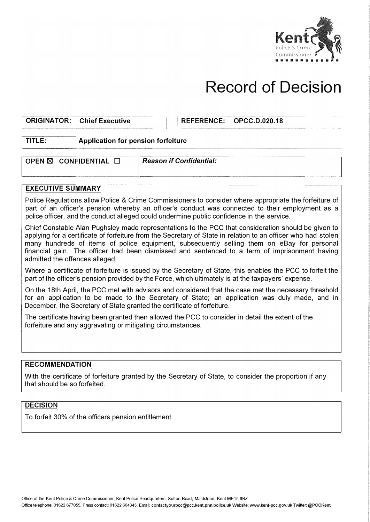

# **Record of Decision**

## ORIGINATOR: Chief Executive **Interpretence: CALC AREFERENCE: OPCC.D.**

**OPCC.D.020.18** 

### **TITLE: Application for pension forfeiture**

**OPEN & CONFIDENTIAL A** *Reason if Confidential:* 

#### **EXECUTIVE SUMMARY**

Police Regulations allow Police & Crime Commissioners to consider where appropriate the forfeiture of part of an officer's pension whereby an officer's conduct was connected to their employment as a police officer, and the conduct alleged could undermine public confidence in the service.

Chief Constable Alan Pughsley made representations to the PCC that consideration should be given to applying for a certificate of forfeiture from the Secretary of State in relation to an officer who had stolen many hundreds of items of police equipment, subsequently selling them on eBay for personal financial gain. The officer had been dismissed and sentenced to a term of imprisonment having admitted the offences alleged.

Where a certificate of forfeiture is issued by the Secretary of State, this enables the PCC to forfeit the part of the officer's pension provided by the Force, which ultimately is at the taxpayers' expense.

On the 18th April, the PCC met with advisors and considered that the case met the necessary threshold for an application to be made to the Secretary of State; an application was duly made, and in December, the Secretary of State granted the certificate of forfeiture.

The certificate having been granted then allowed the PCC to consider in detail the extent of the forfeiture and any aggravating or mitigating circumstances.

#### **RECOMMENDATION**

With the certificate of forfeiture granted by the Secretary of State, to consider the proportion if any that should be so forfeited.

### **DECISION**

To forfeit 30% of the officers pension entitlement.